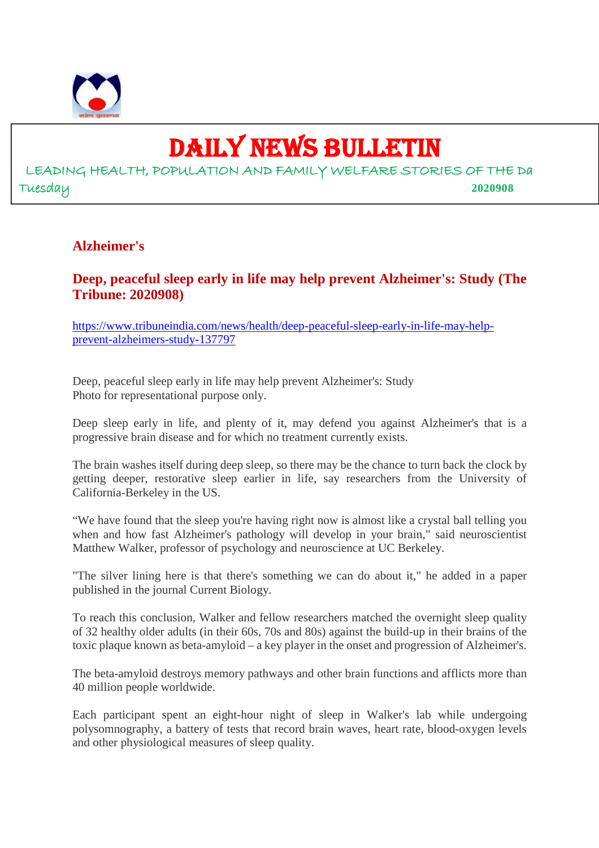

## DAILY NEWS BULLETIN

LEADING HEALTH, POPULATION AND FAMILY WELFARE STORIES OF THE Da Tuesday **2020908**

#### **Alzheimer's**

**Deep, peaceful sleep early in life may help prevent Alzheimer's: Study (The Tribune: 2020908)**

https://www.tribuneindia.com/news/health/deep-peaceful-sleep-early-in-life-may-helpprevent-alzheimers-study-137797

Deep, peaceful sleep early in life may help prevent Alzheimer's: Study Photo for representational purpose only.

Deep sleep early in life, and plenty of it, may defend you against Alzheimer's that is a progressive brain disease and for which no treatment currently exists.

The brain washes itself during deep sleep, so there may be the chance to turn back the clock by getting deeper, restorative sleep earlier in life, say researchers from the University of California-Berkeley in the US.

"We have found that the sleep you're having right now is almost like a crystal ball telling you when and how fast Alzheimer's pathology will develop in your brain," said neuroscientist Matthew Walker, professor of psychology and neuroscience at UC Berkeley.

"The silver lining here is that there's something we can do about it," he added in a paper published in the journal Current Biology.

To reach this conclusion, Walker and fellow researchers matched the overnight sleep quality of 32 healthy older adults (in their 60s, 70s and 80s) against the build-up in their brains of the toxic plaque known as beta-amyloid – a key player in the onset and progression of Alzheimer's.

The beta-amyloid destroys memory pathways and other brain functions and afflicts more than 40 million people worldwide.

Each participant spent an eight-hour night of sleep in Walker's lab while undergoing polysomnography, a battery of tests that record brain waves, heart rate, blood-oxygen levels and other physiological measures of sleep quality.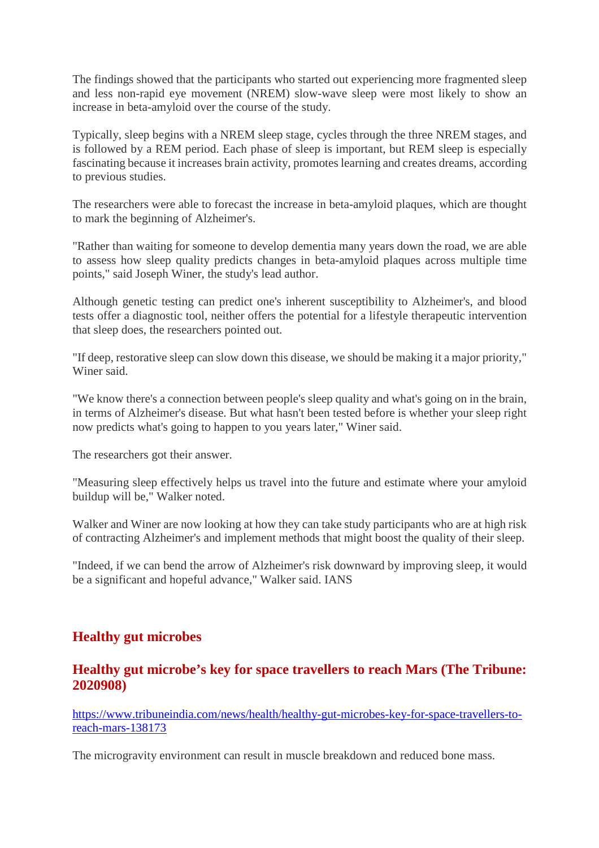The findings showed that the participants who started out experiencing more fragmented sleep and less non-rapid eye movement (NREM) slow-wave sleep were most likely to show an increase in beta-amyloid over the course of the study.

Typically, sleep begins with a NREM sleep stage, cycles through the three NREM stages, and is followed by a REM period. Each phase of sleep is important, but REM sleep is especially fascinating because it increases brain activity, promotes learning and creates dreams, according to previous studies.

The researchers were able to forecast the increase in beta-amyloid plaques, which are thought to mark the beginning of Alzheimer's.

"Rather than waiting for someone to develop dementia many years down the road, we are able to assess how sleep quality predicts changes in beta-amyloid plaques across multiple time points," said Joseph Winer, the study's lead author.

Although genetic testing can predict one's inherent susceptibility to Alzheimer's, and blood tests offer a diagnostic tool, neither offers the potential for a lifestyle therapeutic intervention that sleep does, the researchers pointed out.

"If deep, restorative sleep can slow down this disease, we should be making it a major priority," Winer said.

"We know there's a connection between people's sleep quality and what's going on in the brain, in terms of Alzheimer's disease. But what hasn't been tested before is whether your sleep right now predicts what's going to happen to you years later," Winer said.

The researchers got their answer.

"Measuring sleep effectively helps us travel into the future and estimate where your amyloid buildup will be," Walker noted.

Walker and Winer are now looking at how they can take study participants who are at high risk of contracting Alzheimer's and implement methods that might boost the quality of their sleep.

"Indeed, if we can bend the arrow of Alzheimer's risk downward by improving sleep, it would be a significant and hopeful advance," Walker said. IANS

#### **Healthy gut microbes**

#### **Healthy gut microbe's key for space travellers to reach Mars (The Tribune: 2020908)**

https://www.tribuneindia.com/news/health/healthy-gut-microbes-key-for-space-travellers-toreach-mars-138173

The microgravity environment can result in muscle breakdown and reduced bone mass.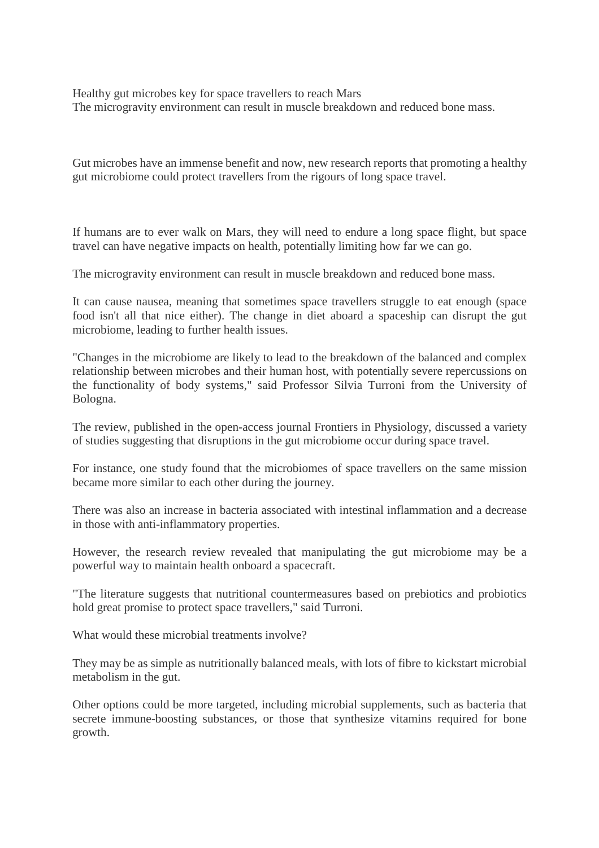Healthy gut microbes key for space travellers to reach Mars The microgravity environment can result in muscle breakdown and reduced bone mass.

Gut microbes have an immense benefit and now, new research reports that promoting a healthy gut microbiome could protect travellers from the rigours of long space travel.

If humans are to ever walk on Mars, they will need to endure a long space flight, but space travel can have negative impacts on health, potentially limiting how far we can go.

The microgravity environment can result in muscle breakdown and reduced bone mass.

It can cause nausea, meaning that sometimes space travellers struggle to eat enough (space food isn't all that nice either). The change in diet aboard a spaceship can disrupt the gut microbiome, leading to further health issues.

"Changes in the microbiome are likely to lead to the breakdown of the balanced and complex relationship between microbes and their human host, with potentially severe repercussions on the functionality of body systems," said Professor Silvia Turroni from the University of Bologna.

The review, published in the open-access journal Frontiers in Physiology, discussed a variety of studies suggesting that disruptions in the gut microbiome occur during space travel.

For instance, one study found that the microbiomes of space travellers on the same mission became more similar to each other during the journey.

There was also an increase in bacteria associated with intestinal inflammation and a decrease in those with anti-inflammatory properties.

However, the research review revealed that manipulating the gut microbiome may be a powerful way to maintain health onboard a spacecraft.

"The literature suggests that nutritional countermeasures based on prebiotics and probiotics hold great promise to protect space travellers," said Turroni.

What would these microbial treatments involve?

They may be as simple as nutritionally balanced meals, with lots of fibre to kickstart microbial metabolism in the gut.

Other options could be more targeted, including microbial supplements, such as bacteria that secrete immune-boosting substances, or those that synthesize vitamins required for bone growth.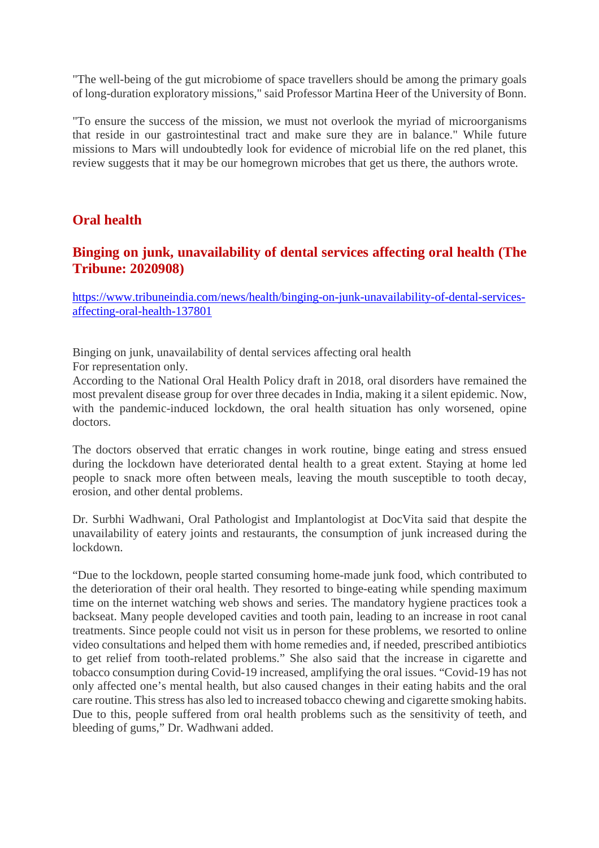"The well-being of the gut microbiome of space travellers should be among the primary goals of long-duration exploratory missions," said Professor Martina Heer of the University of Bonn.

"To ensure the success of the mission, we must not overlook the myriad of microorganisms that reside in our gastrointestinal tract and make sure they are in balance." While future missions to Mars will undoubtedly look for evidence of microbial life on the red planet, this review suggests that it may be our homegrown microbes that get us there, the authors wrote.

#### **Oral health**

#### **Binging on junk, unavailability of dental services affecting oral health (The Tribune: 2020908)**

https://www.tribuneindia.com/news/health/binging-on-junk-unavailability-of-dental-servicesaffecting-oral-health-137801

Binging on junk, unavailability of dental services affecting oral health For representation only.

According to the National Oral Health Policy draft in 2018, oral disorders have remained the most prevalent disease group for over three decades in India, making it a silent epidemic. Now, with the pandemic-induced lockdown, the oral health situation has only worsened, opine doctors.

The doctors observed that erratic changes in work routine, binge eating and stress ensued during the lockdown have deteriorated dental health to a great extent. Staying at home led people to snack more often between meals, leaving the mouth susceptible to tooth decay, erosion, and other dental problems.

Dr. Surbhi Wadhwani, Oral Pathologist and Implantologist at DocVita said that despite the unavailability of eatery joints and restaurants, the consumption of junk increased during the lockdown.

"Due to the lockdown, people started consuming home-made junk food, which contributed to the deterioration of their oral health. They resorted to binge-eating while spending maximum time on the internet watching web shows and series. The mandatory hygiene practices took a backseat. Many people developed cavities and tooth pain, leading to an increase in root canal treatments. Since people could not visit us in person for these problems, we resorted to online video consultations and helped them with home remedies and, if needed, prescribed antibiotics to get relief from tooth-related problems." She also said that the increase in cigarette and tobacco consumption during Covid-19 increased, amplifying the oral issues. "Covid-19 has not only affected one's mental health, but also caused changes in their eating habits and the oral care routine. This stress has also led to increased tobacco chewing and cigarette smoking habits. Due to this, people suffered from oral health problems such as the sensitivity of teeth, and bleeding of gums," Dr. Wadhwani added.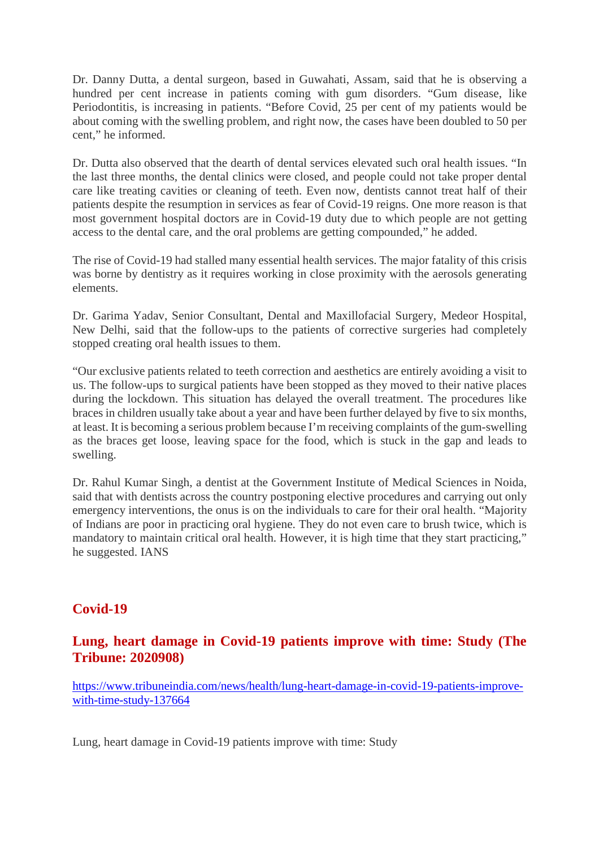Dr. Danny Dutta, a dental surgeon, based in Guwahati, Assam, said that he is observing a hundred per cent increase in patients coming with gum disorders. "Gum disease, like Periodontitis, is increasing in patients. "Before Covid, 25 per cent of my patients would be about coming with the swelling problem, and right now, the cases have been doubled to 50 per cent," he informed.

Dr. Dutta also observed that the dearth of dental services elevated such oral health issues. "In the last three months, the dental clinics were closed, and people could not take proper dental care like treating cavities or cleaning of teeth. Even now, dentists cannot treat half of their patients despite the resumption in services as fear of Covid-19 reigns. One more reason is that most government hospital doctors are in Covid-19 duty due to which people are not getting access to the dental care, and the oral problems are getting compounded," he added.

The rise of Covid-19 had stalled many essential health services. The major fatality of this crisis was borne by dentistry as it requires working in close proximity with the aerosols generating elements.

Dr. Garima Yadav, Senior Consultant, Dental and Maxillofacial Surgery, Medeor Hospital, New Delhi, said that the follow-ups to the patients of corrective surgeries had completely stopped creating oral health issues to them.

"Our exclusive patients related to teeth correction and aesthetics are entirely avoiding a visit to us. The follow-ups to surgical patients have been stopped as they moved to their native places during the lockdown. This situation has delayed the overall treatment. The procedures like braces in children usually take about a year and have been further delayed by five to six months, at least. It is becoming a serious problem because I'm receiving complaints of the gum-swelling as the braces get loose, leaving space for the food, which is stuck in the gap and leads to swelling.

Dr. Rahul Kumar Singh, a dentist at the Government Institute of Medical Sciences in Noida, said that with dentists across the country postponing elective procedures and carrying out only emergency interventions, the onus is on the individuals to care for their oral health. "Majority of Indians are poor in practicing oral hygiene. They do not even care to brush twice, which is mandatory to maintain critical oral health. However, it is high time that they start practicing," he suggested. IANS

#### **Covid-19**

#### **Lung, heart damage in Covid-19 patients improve with time: Study (The Tribune: 2020908)**

https://www.tribuneindia.com/news/health/lung-heart-damage-in-covid-19-patients-improvewith-time-study-137664

Lung, heart damage in Covid-19 patients improve with time: Study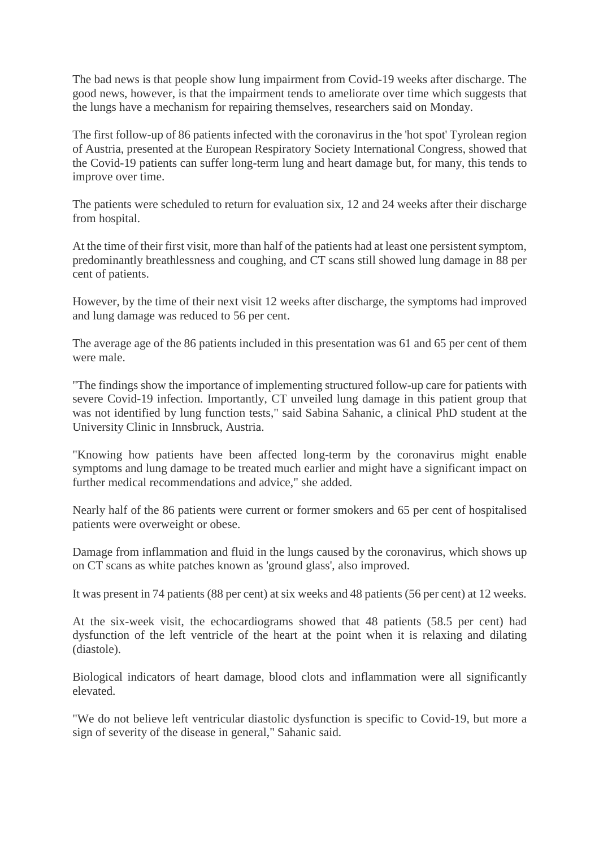The bad news is that people show lung impairment from Covid-19 weeks after discharge. The good news, however, is that the impairment tends to ameliorate over time which suggests that the lungs have a mechanism for repairing themselves, researchers said on Monday.

The first follow-up of 86 patients infected with the coronavirus in the 'hot spot' Tyrolean region of Austria, presented at the European Respiratory Society International Congress, showed that the Covid-19 patients can suffer long-term lung and heart damage but, for many, this tends to improve over time.

The patients were scheduled to return for evaluation six, 12 and 24 weeks after their discharge from hospital.

At the time of their first visit, more than half of the patients had at least one persistent symptom, predominantly breathlessness and coughing, and CT scans still showed lung damage in 88 per cent of patients.

However, by the time of their next visit 12 weeks after discharge, the symptoms had improved and lung damage was reduced to 56 per cent.

The average age of the 86 patients included in this presentation was 61 and 65 per cent of them were male.

"The findings show the importance of implementing structured follow-up care for patients with severe Covid-19 infection. Importantly, CT unveiled lung damage in this patient group that was not identified by lung function tests," said Sabina Sahanic, a clinical PhD student at the University Clinic in Innsbruck, Austria.

"Knowing how patients have been affected long-term by the coronavirus might enable symptoms and lung damage to be treated much earlier and might have a significant impact on further medical recommendations and advice," she added.

Nearly half of the 86 patients were current or former smokers and 65 per cent of hospitalised patients were overweight or obese.

Damage from inflammation and fluid in the lungs caused by the coronavirus, which shows up on CT scans as white patches known as 'ground glass', also improved.

It was present in 74 patients (88 per cent) at six weeks and 48 patients (56 per cent) at 12 weeks.

At the six-week visit, the echocardiograms showed that 48 patients (58.5 per cent) had dysfunction of the left ventricle of the heart at the point when it is relaxing and dilating (diastole).

Biological indicators of heart damage, blood clots and inflammation were all significantly elevated.

"We do not believe left ventricular diastolic dysfunction is specific to Covid-19, but more a sign of severity of the disease in general," Sahanic said.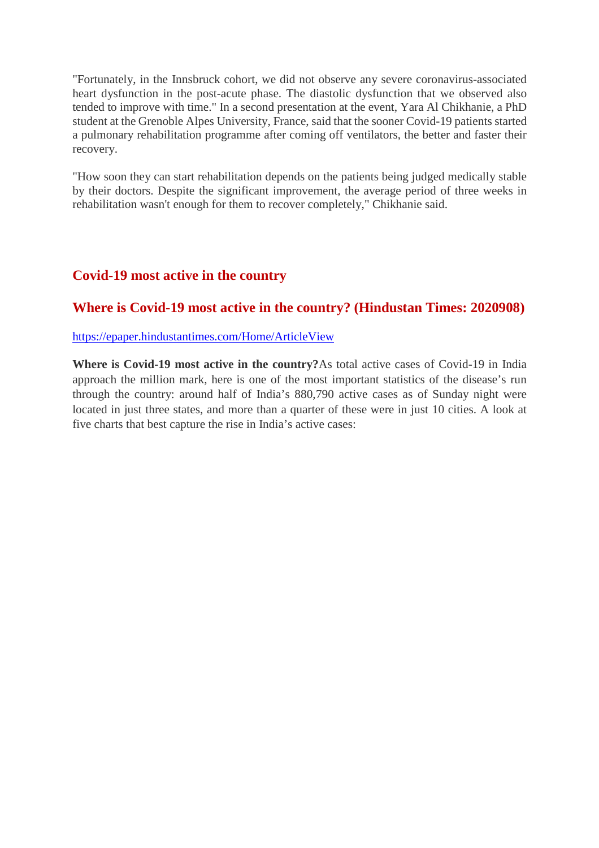"Fortunately, in the Innsbruck cohort, we did not observe any severe coronavirus-associated heart dysfunction in the post-acute phase. The diastolic dysfunction that we observed also tended to improve with time." In a second presentation at the event, Yara Al Chikhanie, a PhD student at the Grenoble Alpes University, France, said that the sooner Covid-19 patients started a pulmonary rehabilitation programme after coming off ventilators, the better and faster their recovery.

"How soon they can start rehabilitation depends on the patients being judged medically stable by their doctors. Despite the significant improvement, the average period of three weeks in rehabilitation wasn't enough for them to recover completely," Chikhanie said.

#### **Covid-19 most active in the country**

#### **Where is Covid-19 most active in the country? (Hindustan Times: 2020908)**

https://epaper.hindustantimes.com/Home/ArticleView

**Where is Covid-19 most active in the country?**As total active cases of Covid-19 in India approach the million mark, here is one of the most important statistics of the disease's run through the country: around half of India's 880,790 active cases as of Sunday night were located in just three states, and more than a quarter of these were in just 10 cities. A look at five charts that best capture the rise in India's active cases: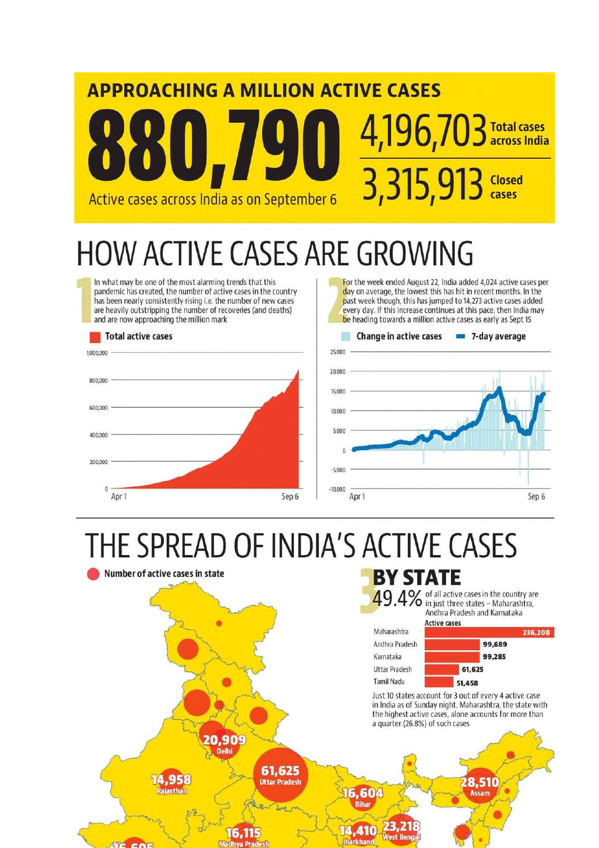# **APPROACHING A MILLION ACTIVE CASES** 4,196,703 Total cases 3,315,913 Closed Active cases across India as on September 6

# **HOW ACTIVE CASES ARE GROWING**

In what may be one of the most alarming trends that this pandemic has created, the number of active cases in the country has been nearly consistently rising i.e. the number of new cases are heavily outstripping the number of recoveries (and deaths) and are now approaching the million mark

#### Total active cases 1,000,000 800,000 600,000 400,000 200,000  $\mathbf 0$ Sep 6 Apr<sub>1</sub>

For the week ended August 22, India added 4,024 active cases per day on average, the lowest this has hit in recent months. In the past week though, this has jumped to 14,273 active cases added every day. If this increase continues at this pace, then India may be heading towards a million active cases as early as Sept 15



# THE SPREAD OF INDIA'S ACTIVE CASES

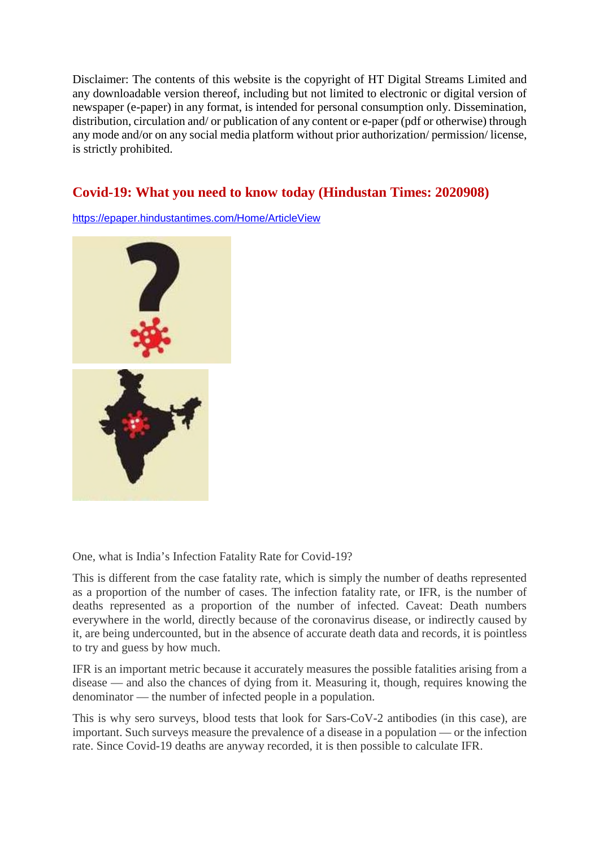Disclaimer: The contents of this website is the copyright of HT Digital Streams Limited and any downloadable version thereof, including but not limited to electronic or digital version of newspaper (e-paper) in any format, is intended for personal consumption only. Dissemination, distribution, circulation and/ or publication of any content or e-paper (pdf or otherwise) through any mode and/or on any social media platform without prior authorization/ permission/ license, is strictly prohibited.

#### **Covid-19: What you need to know today (Hindustan Times: 2020908)**

https://epaper.hindustantimes.com/Home/ArticleView



One, what is India's Infection Fatality Rate for Covid-19?

This is different from the case fatality rate, which is simply the number of deaths represented as a proportion of the number of cases. The infection fatality rate, or IFR, is the number of deaths represented as a proportion of the number of infected. Caveat: Death numbers everywhere in the world, directly because of the coronavirus disease, or indirectly caused by it, are being undercounted, but in the absence of accurate death data and records, it is pointless to try and guess by how much.

IFR is an important metric because it accurately measures the possible fatalities arising from a disease — and also the chances of dying from it. Measuring it, though, requires knowing the denominator — the number of infected people in a population.

This is why sero surveys, blood tests that look for Sars-CoV-2 antibodies (in this case), are important. Such surveys measure the prevalence of a disease in a population — or the infection rate. Since Covid-19 deaths are anyway recorded, it is then possible to calculate IFR.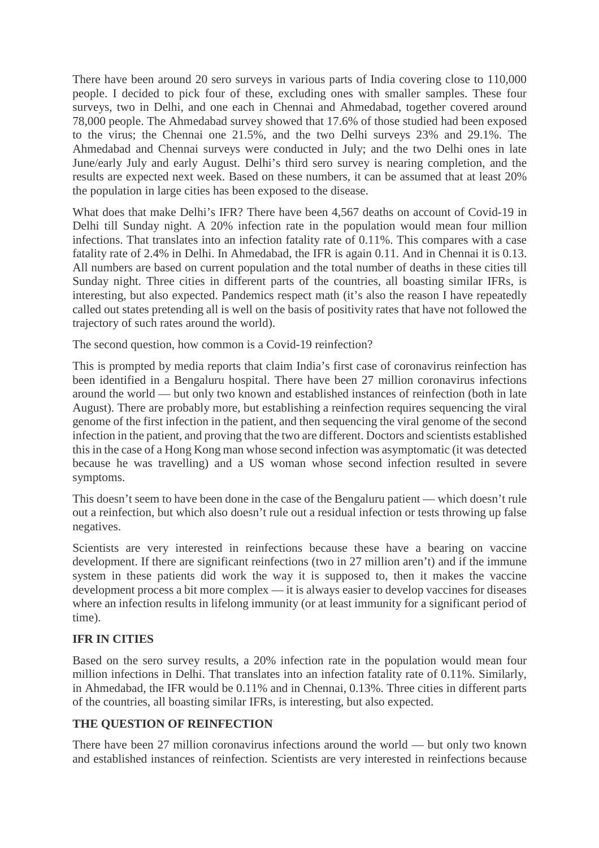There have been around 20 sero surveys in various parts of India covering close to 110,000 people. I decided to pick four of these, excluding ones with smaller samples. These four surveys, two in Delhi, and one each in Chennai and Ahmedabad, together covered around 78,000 people. The Ahmedabad survey showed that 17.6% of those studied had been exposed to the virus; the Chennai one 21.5%, and the two Delhi surveys 23% and 29.1%. The Ahmedabad and Chennai surveys were conducted in July; and the two Delhi ones in late June/early July and early August. Delhi's third sero survey is nearing completion, and the results are expected next week. Based on these numbers, it can be assumed that at least 20% the population in large cities has been exposed to the disease.

What does that make Delhi's IFR? There have been 4,567 deaths on account of Covid-19 in Delhi till Sunday night. A 20% infection rate in the population would mean four million infections. That translates into an infection fatality rate of 0.11%. This compares with a case fatality rate of 2.4% in Delhi. In Ahmedabad, the IFR is again 0.11. And in Chennai it is 0.13. All numbers are based on current population and the total number of deaths in these cities till Sunday night. Three cities in different parts of the countries, all boasting similar IFRs, is interesting, but also expected. Pandemics respect math (it's also the reason I have repeatedly called out states pretending all is well on the basis of positivity rates that have not followed the trajectory of such rates around the world).

The second question, how common is a Covid-19 reinfection?

This is prompted by media reports that claim India's first case of coronavirus reinfection has been identified in a Bengaluru hospital. There have been 27 million coronavirus infections around the world — but only two known and established instances of reinfection (both in late August). There are probably more, but establishing a reinfection requires sequencing the viral genome of the first infection in the patient, and then sequencing the viral genome of the second infection in the patient, and proving that the two are different. Doctors and scientists established this in the case of a Hong Kong man whose second infection was asymptomatic (it was detected because he was travelling) and a US woman whose second infection resulted in severe symptoms.

This doesn't seem to have been done in the case of the Bengaluru patient — which doesn't rule out a reinfection, but which also doesn't rule out a residual infection or tests throwing up false negatives.

Scientists are very interested in reinfections because these have a bearing on vaccine development. If there are significant reinfections (two in 27 million aren't) and if the immune system in these patients did work the way it is supposed to, then it makes the vaccine development process a bit more complex — it is always easier to develop vaccines for diseases where an infection results in lifelong immunity (or at least immunity for a significant period of time).

#### **IFR IN CITIES**

Based on the sero survey results, a 20% infection rate in the population would mean four million infections in Delhi. That translates into an infection fatality rate of 0.11%. Similarly, in Ahmedabad, the IFR would be 0.11% and in Chennai, 0.13%. Three cities in different parts of the countries, all boasting similar IFRs, is interesting, but also expected.

#### **THE QUESTION OF REINFECTION**

There have been 27 million coronavirus infections around the world — but only two known and established instances of reinfection. Scientists are very interested in reinfections because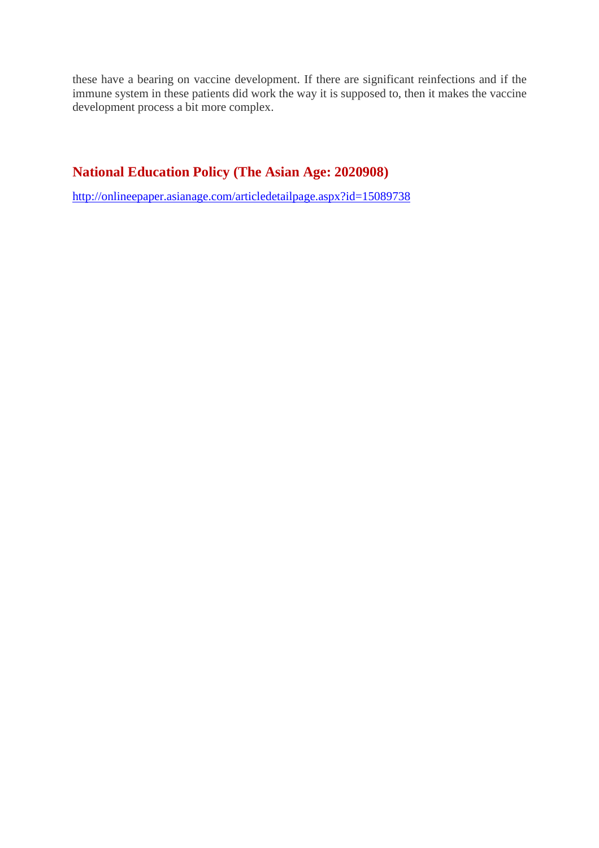these have a bearing on vaccine development. If there are significant reinfections and if the immune system in these patients did work the way it is supposed to, then it makes the vaccine development process a bit more complex.

#### **National Education Policy (The Asian Age: 2020908)**

http://onlineepaper.asianage.com/articledetailpage.aspx?id=15089738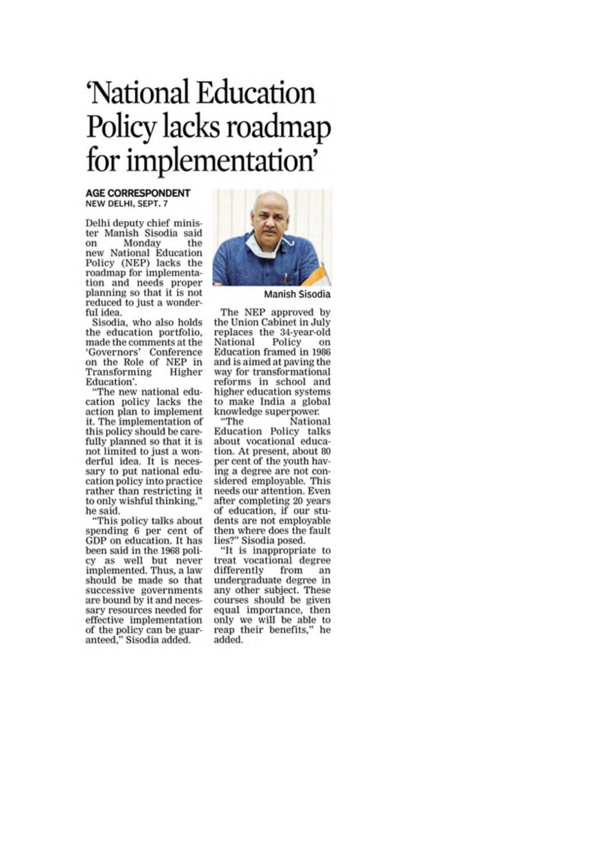# 'National Education Policy lacks roadmap for implementation'

#### **AGE CORRESPONDENT** NEW DELHI, SEPT. 7

Delhi deputy chief minister Manish Sisodia said Monday  $_{\alpha n}$ the new National Education Policy (NEP) lacks the roadmap for implementation and needs proper planning so that it is not reduced to just a wonderful idea.

Sisodia, who also holds the education portfolio. made the comments at the 'Governors' Conference on the Role of NEP in Transforming Higher Education'.

"The new national education policy lacks the<br>action plan to implement it. The implementation of this policy should be carefully planned so that it is not limited to just a wonderful idea. It is necessary to put national education policy into practice rather than restricting it to only wishful thinking,' he said.

"This policy talks about spending 6 per cent of GDP on education. It has been said in the 1968 policy as well but never<br>implemented. Thus, a law should be made so that successive governments are bound by it and necessary resources needed for effective implementation of the policy can be guaranteed," Sisodia added.



Manish Sisodia

The NEP approved by the Union Cabinet in July replaces the 34-year-old Policy National on Education framed in 1986 and is aimed at paying the way for transformational reforms in school and higher education systems to make India a global knowledge superpower.

"The National Education Policy talks about vocational education. At present, about 80 per cent of the youth having a degree are not considered employable. This needs our attention. Even after completing 20 years of education, if our students are not employable then where does the fault lies?" Sisodia posed.

"It is inappropriate to treat vocational degree differently from an undergraduate degree in any other subject. These courses should be given equal importance, then only we will be able to reap their benefits," he added.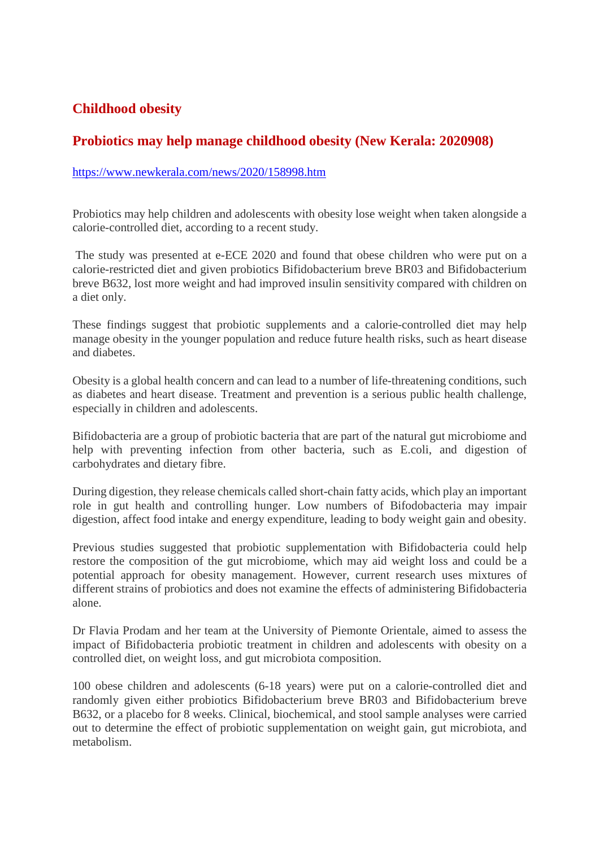#### **Childhood obesity**

#### **Probiotics may help manage childhood obesity (New Kerala: 2020908)**

#### https://www.newkerala.com/news/2020/158998.htm

Probiotics may help children and adolescents with obesity lose weight when taken alongside a calorie-controlled diet, according to a recent study.

The study was presented at e-ECE 2020 and found that obese children who were put on a calorie-restricted diet and given probiotics Bifidobacterium breve BR03 and Bifidobacterium breve B632, lost more weight and had improved insulin sensitivity compared with children on a diet only.

These findings suggest that probiotic supplements and a calorie-controlled diet may help manage obesity in the younger population and reduce future health risks, such as heart disease and diabetes.

Obesity is a global health concern and can lead to a number of life-threatening conditions, such as diabetes and heart disease. Treatment and prevention is a serious public health challenge, especially in children and adolescents.

Bifidobacteria are a group of probiotic bacteria that are part of the natural gut microbiome and help with preventing infection from other bacteria, such as E.coli, and digestion of carbohydrates and dietary fibre.

During digestion, they release chemicals called short-chain fatty acids, which play an important role in gut health and controlling hunger. Low numbers of Bifodobacteria may impair digestion, affect food intake and energy expenditure, leading to body weight gain and obesity.

Previous studies suggested that probiotic supplementation with Bifidobacteria could help restore the composition of the gut microbiome, which may aid weight loss and could be a potential approach for obesity management. However, current research uses mixtures of different strains of probiotics and does not examine the effects of administering Bifidobacteria alone.

Dr Flavia Prodam and her team at the University of Piemonte Orientale, aimed to assess the impact of Bifidobacteria probiotic treatment in children and adolescents with obesity on a controlled diet, on weight loss, and gut microbiota composition.

100 obese children and adolescents (6-18 years) were put on a calorie-controlled diet and randomly given either probiotics Bifidobacterium breve BR03 and Bifidobacterium breve B632, or a placebo for 8 weeks. Clinical, biochemical, and stool sample analyses were carried out to determine the effect of probiotic supplementation on weight gain, gut microbiota, and metabolism.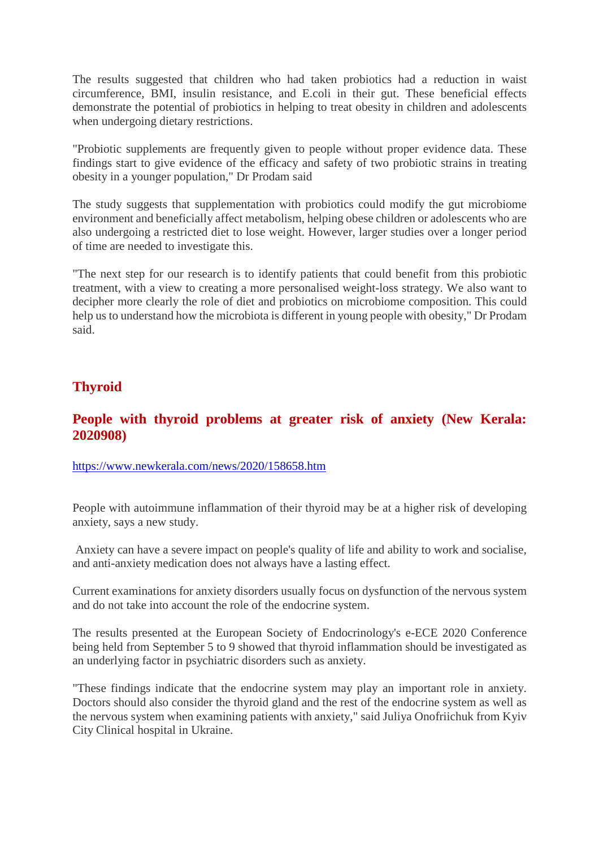The results suggested that children who had taken probiotics had a reduction in waist circumference, BMI, insulin resistance, and E.coli in their gut. These beneficial effects demonstrate the potential of probiotics in helping to treat obesity in children and adolescents when undergoing dietary restrictions.

"Probiotic supplements are frequently given to people without proper evidence data. These findings start to give evidence of the efficacy and safety of two probiotic strains in treating obesity in a younger population," Dr Prodam said

The study suggests that supplementation with probiotics could modify the gut microbiome environment and beneficially affect metabolism, helping obese children or adolescents who are also undergoing a restricted diet to lose weight. However, larger studies over a longer period of time are needed to investigate this.

"The next step for our research is to identify patients that could benefit from this probiotic treatment, with a view to creating a more personalised weight-loss strategy. We also want to decipher more clearly the role of diet and probiotics on microbiome composition. This could help us to understand how the microbiota is different in young people with obesity," Dr Prodam said.

#### **Thyroid**

#### **People with thyroid problems at greater risk of anxiety (New Kerala: 2020908)**

https://www.newkerala.com/news/2020/158658.htm

People with autoimmune inflammation of their thyroid may be at a higher risk of developing anxiety, says a new study.

Anxiety can have a severe impact on people's quality of life and ability to work and socialise, and anti-anxiety medication does not always have a lasting effect.

Current examinations for anxiety disorders usually focus on dysfunction of the nervous system and do not take into account the role of the endocrine system.

The results presented at the European Society of Endocrinology's e-ECE 2020 Conference being held from September 5 to 9 showed that thyroid inflammation should be investigated as an underlying factor in psychiatric disorders such as anxiety.

"These findings indicate that the endocrine system may play an important role in anxiety. Doctors should also consider the thyroid gland and the rest of the endocrine system as well as the nervous system when examining patients with anxiety," said Juliya Onofriichuk from Kyiv City Clinical hospital in Ukraine.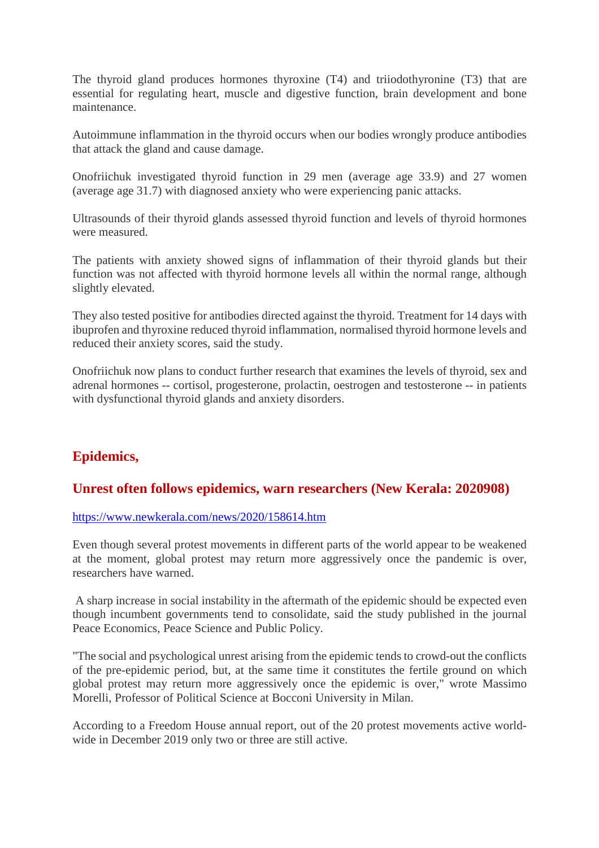The thyroid gland produces hormones thyroxine (T4) and triiodothyronine (T3) that are essential for regulating heart, muscle and digestive function, brain development and bone maintenance.

Autoimmune inflammation in the thyroid occurs when our bodies wrongly produce antibodies that attack the gland and cause damage.

Onofriichuk investigated thyroid function in 29 men (average age 33.9) and 27 women (average age 31.7) with diagnosed anxiety who were experiencing panic attacks.

Ultrasounds of their thyroid glands assessed thyroid function and levels of thyroid hormones were measured.

The patients with anxiety showed signs of inflammation of their thyroid glands but their function was not affected with thyroid hormone levels all within the normal range, although slightly elevated.

They also tested positive for antibodies directed against the thyroid. Treatment for 14 days with ibuprofen and thyroxine reduced thyroid inflammation, normalised thyroid hormone levels and reduced their anxiety scores, said the study.

Onofriichuk now plans to conduct further research that examines the levels of thyroid, sex and adrenal hormones -- cortisol, progesterone, prolactin, oestrogen and testosterone -- in patients with dysfunctional thyroid glands and anxiety disorders.

#### **Epidemics,**

#### **Unrest often follows epidemics, warn researchers (New Kerala: 2020908)**

#### https://www.newkerala.com/news/2020/158614.htm

Even though several protest movements in different parts of the world appear to be weakened at the moment, global protest may return more aggressively once the pandemic is over, researchers have warned.

A sharp increase in social instability in the aftermath of the epidemic should be expected even though incumbent governments tend to consolidate, said the study published in the journal Peace Economics, Peace Science and Public Policy.

"The social and psychological unrest arising from the epidemic tends to crowd-out the conflicts of the pre-epidemic period, but, at the same time it constitutes the fertile ground on which global protest may return more aggressively once the epidemic is over," wrote Massimo Morelli, Professor of Political Science at Bocconi University in Milan.

According to a Freedom House annual report, out of the 20 protest movements active worldwide in December 2019 only two or three are still active.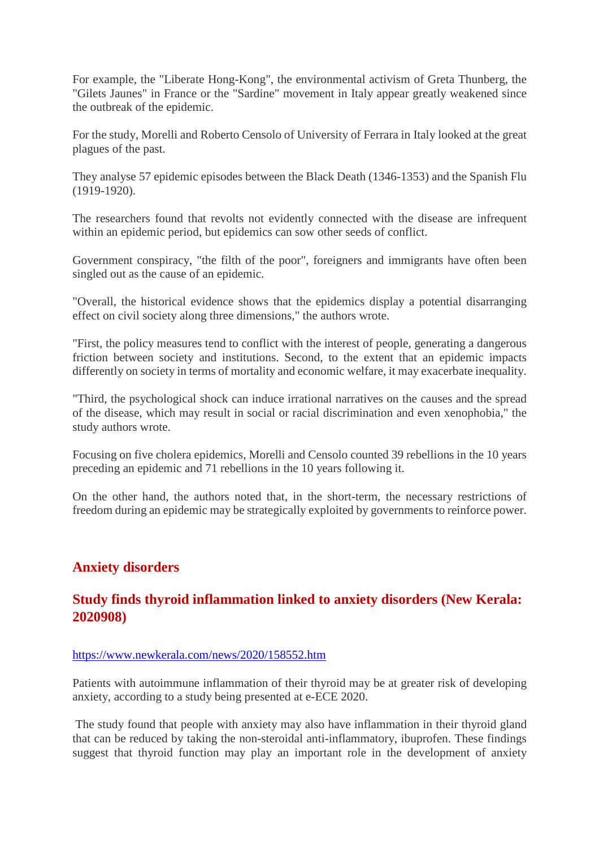For example, the "Liberate Hong-Kong", the environmental activism of Greta Thunberg, the "Gilets Jaunes" in France or the "Sardine" movement in Italy appear greatly weakened since the outbreak of the epidemic.

For the study, Morelli and Roberto Censolo of University of Ferrara in Italy looked at the great plagues of the past.

They analyse 57 epidemic episodes between the Black Death (1346-1353) and the Spanish Flu (1919-1920).

The researchers found that revolts not evidently connected with the disease are infrequent within an epidemic period, but epidemics can sow other seeds of conflict.

Government conspiracy, "the filth of the poor", foreigners and immigrants have often been singled out as the cause of an epidemic.

"Overall, the historical evidence shows that the epidemics display a potential disarranging effect on civil society along three dimensions," the authors wrote.

"First, the policy measures tend to conflict with the interest of people, generating a dangerous friction between society and institutions. Second, to the extent that an epidemic impacts differently on society in terms of mortality and economic welfare, it may exacerbate inequality.

"Third, the psychological shock can induce irrational narratives on the causes and the spread of the disease, which may result in social or racial discrimination and even xenophobia," the study authors wrote.

Focusing on five cholera epidemics, Morelli and Censolo counted 39 rebellions in the 10 years preceding an epidemic and 71 rebellions in the 10 years following it.

On the other hand, the authors noted that, in the short-term, the necessary restrictions of freedom during an epidemic may be strategically exploited by governments to reinforce power.

#### **Anxiety disorders**

#### **Study finds thyroid inflammation linked to anxiety disorders (New Kerala: 2020908)**

#### https://www.newkerala.com/news/2020/158552.htm

Patients with autoimmune inflammation of their thyroid may be at greater risk of developing anxiety, according to a study being presented at e-ECE 2020.

The study found that people with anxiety may also have inflammation in their thyroid gland that can be reduced by taking the non-steroidal anti-inflammatory, ibuprofen. These findings suggest that thyroid function may play an important role in the development of anxiety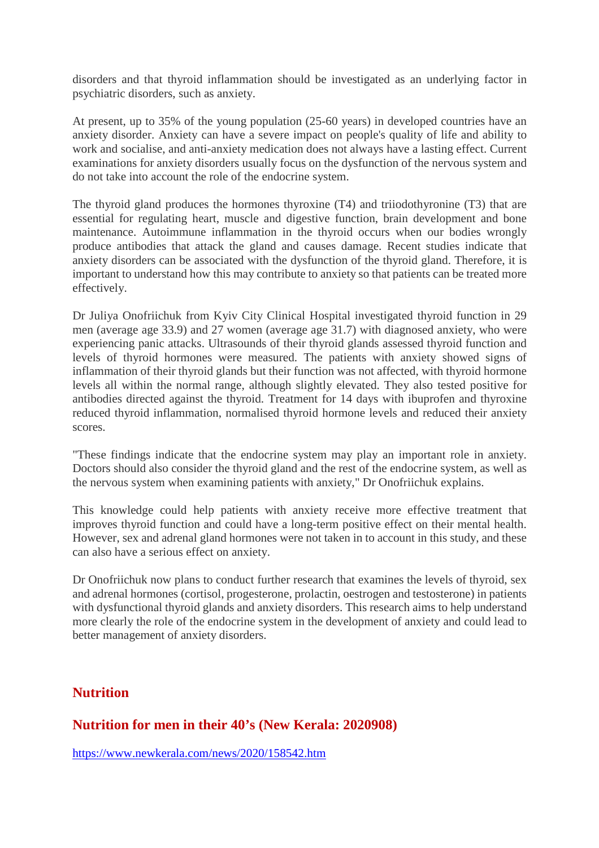disorders and that thyroid inflammation should be investigated as an underlying factor in psychiatric disorders, such as anxiety.

At present, up to 35% of the young population (25-60 years) in developed countries have an anxiety disorder. Anxiety can have a severe impact on people's quality of life and ability to work and socialise, and anti-anxiety medication does not always have a lasting effect. Current examinations for anxiety disorders usually focus on the dysfunction of the nervous system and do not take into account the role of the endocrine system.

The thyroid gland produces the hormones thyroxine (T4) and triiodothyronine (T3) that are essential for regulating heart, muscle and digestive function, brain development and bone maintenance. Autoimmune inflammation in the thyroid occurs when our bodies wrongly produce antibodies that attack the gland and causes damage. Recent studies indicate that anxiety disorders can be associated with the dysfunction of the thyroid gland. Therefore, it is important to understand how this may contribute to anxiety so that patients can be treated more effectively.

Dr Juliya Onofriichuk from Kyiv City Clinical Hospital investigated thyroid function in 29 men (average age 33.9) and 27 women (average age 31.7) with diagnosed anxiety, who were experiencing panic attacks. Ultrasounds of their thyroid glands assessed thyroid function and levels of thyroid hormones were measured. The patients with anxiety showed signs of inflammation of their thyroid glands but their function was not affected, with thyroid hormone levels all within the normal range, although slightly elevated. They also tested positive for antibodies directed against the thyroid. Treatment for 14 days with ibuprofen and thyroxine reduced thyroid inflammation, normalised thyroid hormone levels and reduced their anxiety scores.

"These findings indicate that the endocrine system may play an important role in anxiety. Doctors should also consider the thyroid gland and the rest of the endocrine system, as well as the nervous system when examining patients with anxiety," Dr Onofriichuk explains.

This knowledge could help patients with anxiety receive more effective treatment that improves thyroid function and could have a long-term positive effect on their mental health. However, sex and adrenal gland hormones were not taken in to account in this study, and these can also have a serious effect on anxiety.

Dr Onofriichuk now plans to conduct further research that examines the levels of thyroid, sex and adrenal hormones (cortisol, progesterone, prolactin, oestrogen and testosterone) in patients with dysfunctional thyroid glands and anxiety disorders. This research aims to help understand more clearly the role of the endocrine system in the development of anxiety and could lead to better management of anxiety disorders.

#### **Nutrition**

#### **Nutrition for men in their 40's (New Kerala: 2020908)**

https://www.newkerala.com/news/2020/158542.htm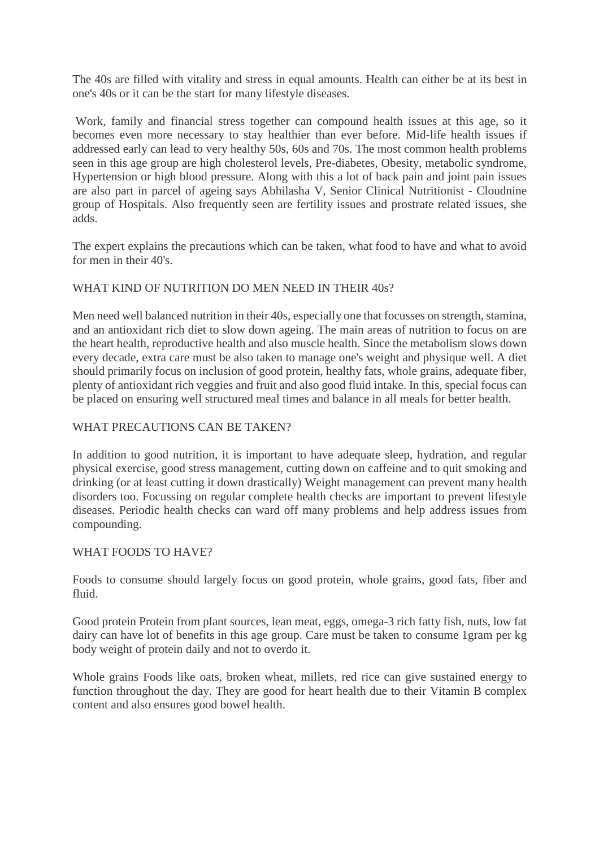The 40s are filled with vitality and stress in equal amounts. Health can either be at its best in one's 40s or it can be the start for many lifestyle diseases.

Work, family and financial stress together can compound health issues at this age, so it becomes even more necessary to stay healthier than ever before. Mid-life health issues if addressed early can lead to very healthy 50s, 60s and 70s. The most common health problems seen in this age group are high cholesterol levels, Pre-diabetes, Obesity, metabolic syndrome, Hypertension or high blood pressure. Along with this a lot of back pain and joint pain issues are also part in parcel of ageing says Abhilasha V, Senior Clinical Nutritionist - Cloudnine group of Hospitals. Also frequently seen are fertility issues and prostrate related issues, she adds.

The expert explains the precautions which can be taken, what food to have and what to avoid for men in their 40's.

#### WHAT KIND OF NUTRITION DO MEN NEED IN THEIR 40s?

Men need well balanced nutrition in their 40s, especially one that focusses on strength, stamina, and an antioxidant rich diet to slow down ageing. The main areas of nutrition to focus on are the heart health, reproductive health and also muscle health. Since the metabolism slows down every decade, extra care must be also taken to manage one's weight and physique well. A diet should primarily focus on inclusion of good protein, healthy fats, whole grains, adequate fiber, plenty of antioxidant rich veggies and fruit and also good fluid intake. In this, special focus can be placed on ensuring well structured meal times and balance in all meals for better health.

#### WHAT PRECAUTIONS CAN BE TAKEN?

In addition to good nutrition, it is important to have adequate sleep, hydration, and regular physical exercise, good stress management, cutting down on caffeine and to quit smoking and drinking (or at least cutting it down drastically) Weight management can prevent many health disorders too. Focussing on regular complete health checks are important to prevent lifestyle diseases. Periodic health checks can ward off many problems and help address issues from compounding.

#### WHAT FOODS TO HAVE?

Foods to consume should largely focus on good protein, whole grains, good fats, fiber and fluid.

Good protein Protein from plant sources, lean meat, eggs, omega-3 rich fatty fish, nuts, low fat dairy can have lot of benefits in this age group. Care must be taken to consume 1gram per kg body weight of protein daily and not to overdo it.

Whole grains Foods like oats, broken wheat, millets, red rice can give sustained energy to function throughout the day. They are good for heart health due to their Vitamin B complex content and also ensures good bowel health.